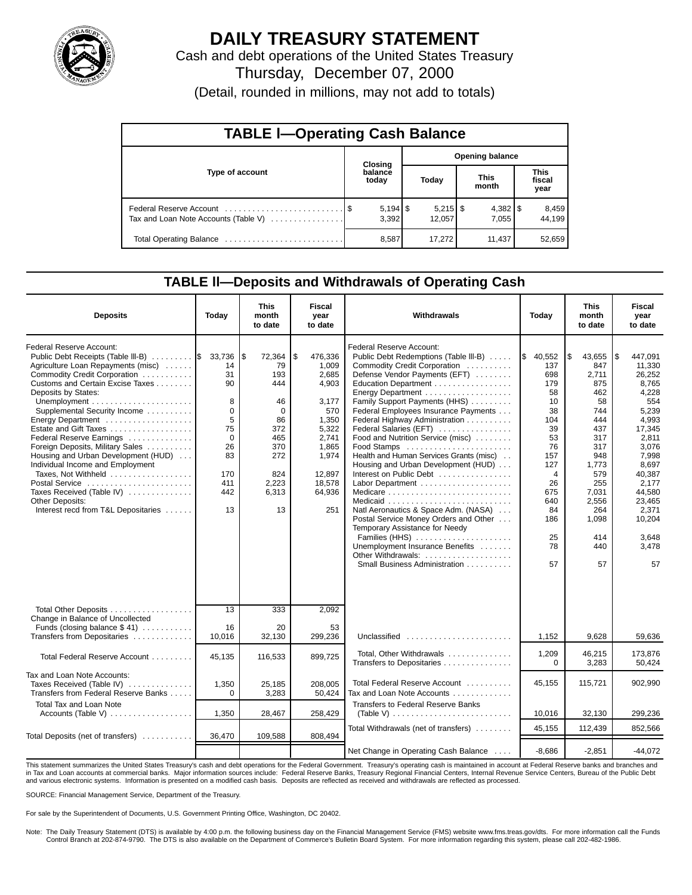

# **DAILY TREASURY STATEMENT**

Cash and debt operations of the United States Treasury Thursday, December 07, 2000

(Detail, rounded in millions, may not add to totals)

| <b>TABLE I-Operating Cash Balance</b> |  |                     |  |                        |  |                      |  |                               |  |  |  |  |
|---------------------------------------|--|---------------------|--|------------------------|--|----------------------|--|-------------------------------|--|--|--|--|
|                                       |  | Closing             |  | <b>Opening balance</b> |  |                      |  |                               |  |  |  |  |
| Type of account                       |  | balance<br>today    |  | Today                  |  | <b>This</b><br>month |  | <b>This</b><br>fiscal<br>year |  |  |  |  |
| Tax and Loan Note Accounts (Table V)  |  | $5,194$ \$<br>3,392 |  | $5,215$ \$<br>12.057   |  | 7.055                |  | 8,459<br>44.199               |  |  |  |  |
|                                       |  | 8,587               |  | 17.272                 |  | 11.437               |  | 52,659                        |  |  |  |  |

#### **TABLE ll—Deposits and Withdrawals of Operating Cash**

| <b>Deposits</b>                                                                                                                                                                                                                                                                                                                                                                                                                                                                                                                                                     | Today                                                                                     | <b>This</b><br>month<br>to date                                                                                      | Fiscal<br>vear<br>to date                                                                                                                    | Withdrawals                                                                                                                                                                                                                                                                                                                                                                                                                                                                                                                                                                                                                                                                                     | Today                                                                                                                                                       | <b>This</b><br>month<br>to date                                                                                                                                          | <b>Fiscal</b><br>year<br>to date                                                                                                                                                                              |
|---------------------------------------------------------------------------------------------------------------------------------------------------------------------------------------------------------------------------------------------------------------------------------------------------------------------------------------------------------------------------------------------------------------------------------------------------------------------------------------------------------------------------------------------------------------------|-------------------------------------------------------------------------------------------|----------------------------------------------------------------------------------------------------------------------|----------------------------------------------------------------------------------------------------------------------------------------------|-------------------------------------------------------------------------------------------------------------------------------------------------------------------------------------------------------------------------------------------------------------------------------------------------------------------------------------------------------------------------------------------------------------------------------------------------------------------------------------------------------------------------------------------------------------------------------------------------------------------------------------------------------------------------------------------------|-------------------------------------------------------------------------------------------------------------------------------------------------------------|--------------------------------------------------------------------------------------------------------------------------------------------------------------------------|---------------------------------------------------------------------------------------------------------------------------------------------------------------------------------------------------------------|
| Federal Reserve Account:<br>Public Debt Receipts (Table III-B)  \$ 33,736<br>Agriculture Loan Repayments (misc)<br>Commodity Credit Corporation<br>Customs and Certain Excise Taxes<br>Deposits by States:<br>Supplemental Security Income<br>Energy Department<br>Estate and Gift Taxes<br>Federal Reserve Earnings<br>Foreign Deposits, Military Sales<br>Housing and Urban Development (HUD)<br>Individual Income and Employment<br>Taxes, Not Withheld<br>Postal Service<br>Taxes Received (Table IV)<br>Other Deposits:<br>Interest recd from T&L Depositaries | 14<br>31<br>90<br>8<br>0<br>5<br>75<br>$\mathbf 0$<br>26<br>83<br>170<br>411<br>442<br>13 | 72,364<br>l\$<br>79<br>193<br>444<br>46<br>$\Omega$<br>86<br>372<br>465<br>370<br>272<br>824<br>2,223<br>6,313<br>13 | ا \$<br>476,336<br>1.009<br>2,685<br>4,903<br>3,177<br>570<br>1,350<br>5,322<br>2,741<br>1,865<br>1,974<br>12.897<br>18,578<br>64,936<br>251 | Federal Reserve Account:<br>Public Debt Redemptions (Table III-B)<br>Commodity Credit Corporation<br>Defense Vendor Payments (EFT)<br>Education Department<br>Family Support Payments (HHS)<br>Federal Employees Insurance Payments<br>Federal Highway Administration<br>Federal Salaries (EFT)<br>Food and Nutrition Service (misc)<br>Food Stamps<br>Health and Human Services Grants (misc)<br>Housing and Urban Development (HUD)<br>Interest on Public Debt<br>Natl Aeronautics & Space Adm. (NASA)<br>Postal Service Money Orders and Other<br>Temporary Assistance for Needy<br>Families (HHS)<br>Unemployment Insurance Benefits<br>Other Withdrawals:<br>Small Business Administration | \$40,552<br>137<br>698<br>179<br>58<br>10<br>38<br>104<br>39<br>53<br>76<br>157<br>127<br>$\overline{4}$<br>26<br>675<br>640<br>84<br>186<br>25<br>78<br>57 | l\$<br>43,655<br>847<br>2,711<br>875<br>462<br>58<br>744<br>444<br>437<br>317<br>317<br>948<br>1,773<br>579<br>255<br>7,031<br>2,556<br>264<br>1,098<br>414<br>440<br>57 | 447,091<br>1\$<br>11,330<br>26,252<br>8,765<br>4,228<br>554<br>5,239<br>4,993<br>17,345<br>2,811<br>3,076<br>7,998<br>8,697<br>40,387<br>2,177<br>44,580<br>23,465<br>2,371<br>10,204<br>3,648<br>3,478<br>57 |
| Total Other Deposits<br>Change in Balance of Uncollected<br>Funds (closing balance $$41$ )<br>Transfers from Depositaries                                                                                                                                                                                                                                                                                                                                                                                                                                           | 13<br>16<br>10,016                                                                        | 333<br>20<br>32,130                                                                                                  | 2,092<br>53<br>299,236                                                                                                                       | Unclassified $\ldots \ldots \ldots \ldots \ldots \ldots$                                                                                                                                                                                                                                                                                                                                                                                                                                                                                                                                                                                                                                        | 1,152                                                                                                                                                       | 9,628                                                                                                                                                                    | 59,636                                                                                                                                                                                                        |
| Total Federal Reserve Account                                                                                                                                                                                                                                                                                                                                                                                                                                                                                                                                       | 45.135                                                                                    | 116,533                                                                                                              | 899,725                                                                                                                                      | Total, Other Withdrawals                                                                                                                                                                                                                                                                                                                                                                                                                                                                                                                                                                                                                                                                        | 1,209                                                                                                                                                       | 46.215                                                                                                                                                                   | 173.876                                                                                                                                                                                                       |
| Tax and Loan Note Accounts:<br>Taxes Received (Table IV)<br>Transfers from Federal Reserve Banks                                                                                                                                                                                                                                                                                                                                                                                                                                                                    | 1,350<br>$\Omega$                                                                         | 25,185<br>3,283                                                                                                      | 208.005<br>50,424                                                                                                                            | Transfers to Depositaries<br>Total Federal Reserve Account<br>Tax and Loan Note Accounts                                                                                                                                                                                                                                                                                                                                                                                                                                                                                                                                                                                                        | $\Omega$<br>45,155                                                                                                                                          | 3,283<br>115.721                                                                                                                                                         | 50,424<br>902.990                                                                                                                                                                                             |
| Total Tax and Loan Note<br>Accounts (Table V)                                                                                                                                                                                                                                                                                                                                                                                                                                                                                                                       | 1,350                                                                                     | 28,467                                                                                                               | 258,429                                                                                                                                      | <b>Transfers to Federal Reserve Banks</b><br>(Table V) $\ldots \ldots \ldots \ldots \ldots \ldots \ldots$                                                                                                                                                                                                                                                                                                                                                                                                                                                                                                                                                                                       | 10,016                                                                                                                                                      | 32,130                                                                                                                                                                   | 299,236                                                                                                                                                                                                       |
| Total Deposits (net of transfers)                                                                                                                                                                                                                                                                                                                                                                                                                                                                                                                                   | 36,470                                                                                    | 109,588                                                                                                              | 808,494                                                                                                                                      | Total Withdrawals (net of transfers)                                                                                                                                                                                                                                                                                                                                                                                                                                                                                                                                                                                                                                                            | 45.155                                                                                                                                                      | 112,439                                                                                                                                                                  | 852.566                                                                                                                                                                                                       |
|                                                                                                                                                                                                                                                                                                                                                                                                                                                                                                                                                                     |                                                                                           |                                                                                                                      |                                                                                                                                              | Net Change in Operating Cash Balance                                                                                                                                                                                                                                                                                                                                                                                                                                                                                                                                                                                                                                                            | $-8.686$                                                                                                                                                    | $-2.851$                                                                                                                                                                 | $-44.072$                                                                                                                                                                                                     |

This statement summarizes the United States Treasury's cash and debt operations for the Federal Government. Treasury's operating cash is maintained in account at Federal Reserve banks and branches and<br>in Tax and Loan accou and various electronic systems. Information is presented on a modified cash basis. Deposits are reflected as received and withdrawals are reflected as processed.

SOURCE: Financial Management Service, Department of the Treasury.

For sale by the Superintendent of Documents, U.S. Government Printing Office, Washington, DC 20402.

Note: The Daily Treasury Statement (DTS) is available by 4:00 p.m. the following business day on the Financial Management Service (FMS) website www.fms.treas.gov/dts. For more information call the Funds Control Branch at 202-874-9790. The DTS is also available on the Department of Commerce's Bulletin Board System. For more information regarding this system, please call 202-482-1986.